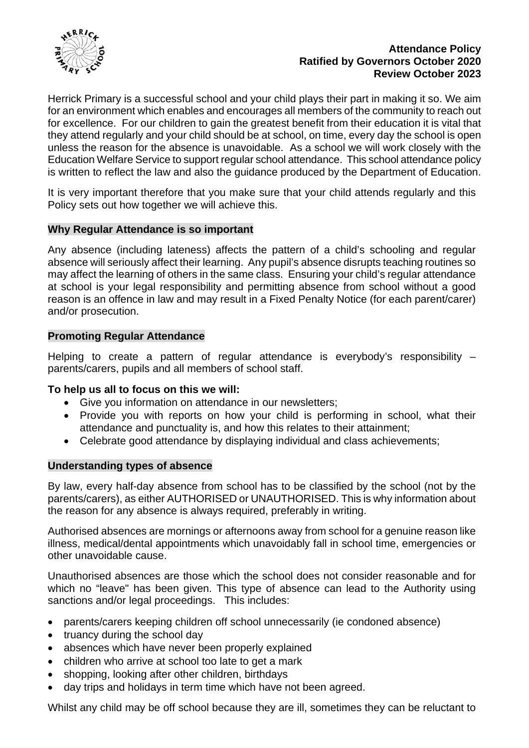

### **Attendance Policy Ratified by Governors October 2020 Review October 2023**

Herrick Primary is a successful school and your child plays their part in making it so. We aim for an environment which enables and encourages all members of the community to reach out for excellence. For our children to gain the greatest benefit from their education it is vital that they attend regularly and your child should be at school, on time, every day the school is open unless the reason for the absence is unavoidable. As a school we will work closely with the Education Welfare Service to support regular school attendance. This school attendance policy is written to reflect the law and also the guidance produced by the Department of Education.

It is very important therefore that you make sure that your child attends regularly and this Policy sets out how together we will achieve this.

### **Why Regular Attendance is so important**

Any absence (including lateness) affects the pattern of a child's schooling and regular absence will seriously affect their learning. Any pupil's absence disrupts teaching routines so may affect the learning of others in the same class. Ensuring your child's regular attendance at school is your legal responsibility and permitting absence from school without a good reason is an offence in law and may result in a Fixed Penalty Notice (for each parent/carer) and/or prosecution.

### **Promoting Regular Attendance**

Helping to create a pattern of regular attendance is everybody's responsibility – parents/carers, pupils and all members of school staff.

# **To help us all to focus on this we will:**

- Give you information on attendance in our newsletters;
- Provide you with reports on how your child is performing in school, what their attendance and punctuality is, and how this relates to their attainment;
- Celebrate good attendance by displaying individual and class achievements;

### **Understanding types of absence**

By law, every half-day absence from school has to be classified by the school (not by the parents/carers), as either AUTHORISED or UNAUTHORISED. This is why information about the reason for any absence is always required, preferably in writing.

Authorised absences are mornings or afternoons away from school for a genuine reason like illness, medical/dental appointments which unavoidably fall in school time, emergencies or other unavoidable cause.

Unauthorised absences are those which the school does not consider reasonable and for which no "leave" has been given. This type of absence can lead to the Authority using sanctions and/or legal proceedings. This includes:

- parents/carers keeping children off school unnecessarily (ie condoned absence)
- truancy during the school day
- absences which have never been properly explained
- children who arrive at school too late to get a mark
- shopping, looking after other children, birthdays
- day trips and holidays in term time which have not been agreed.

Whilst any child may be off school because they are ill, sometimes they can be reluctant to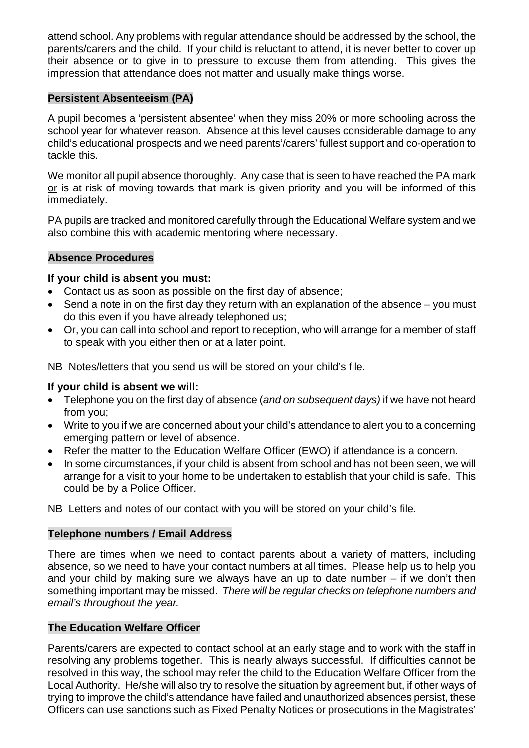attend school. Any problems with regular attendance should be addressed by the school, the parents/carers and the child. If your child is reluctant to attend, it is never better to cover up their absence or to give in to pressure to excuse them from attending. This gives the impression that attendance does not matter and usually make things worse.

# **Persistent Absenteeism (PA)**

A pupil becomes a 'persistent absentee' when they miss 20% or more schooling across the school year for whatever reason. Absence at this level causes considerable damage to any child's educational prospects and we need parents'/carers' fullest support and co-operation to tackle this.

We monitor all pupil absence thoroughly. Any case that is seen to have reached the PA mark or is at risk of moving towards that mark is given priority and you will be informed of this immediately.

PA pupils are tracked and monitored carefully through the Educational Welfare system and we also combine this with academic mentoring where necessary.

### **Absence Procedures**

### **If your child is absent you must:**

- Contact us as soon as possible on the first day of absence;
- Send a note in on the first day they return with an explanation of the absence you must do this even if you have already telephoned us;
- Or, you can call into school and report to reception, who will arrange for a member of staff to speak with you either then or at a later point.

NB Notes/letters that you send us will be stored on your child's file.

# **If your child is absent we will:**

- Telephone you on the first day of absence (*and on subsequent days)* if we have not heard from you;
- Write to you if we are concerned about your child's attendance to alert you to a concerning emerging pattern or level of absence.
- Refer the matter to the Education Welfare Officer (EWO) if attendance is a concern.
- In some circumstances, if your child is absent from school and has not been seen, we will arrange for a visit to your home to be undertaken to establish that your child is safe. This could be by a Police Officer.

NB Letters and notes of our contact with you will be stored on your child's file.

# **Telephone numbers / Email Address**

There are times when we need to contact parents about a variety of matters, including absence, so we need to have your contact numbers at all times. Please help us to help you and your child by making sure we always have an up to date number – if we don't then something important may be missed. *There will be regular checks on telephone numbers and email's throughout the year.* 

### **The Education Welfare Officer**

Parents/carers are expected to contact school at an early stage and to work with the staff in resolving any problems together. This is nearly always successful. If difficulties cannot be resolved in this way, the school may refer the child to the Education Welfare Officer from the Local Authority. He/she will also try to resolve the situation by agreement but, if other ways of trying to improve the child's attendance have failed and unauthorized absences persist, these Officers can use sanctions such as Fixed Penalty Notices or prosecutions in the Magistrates'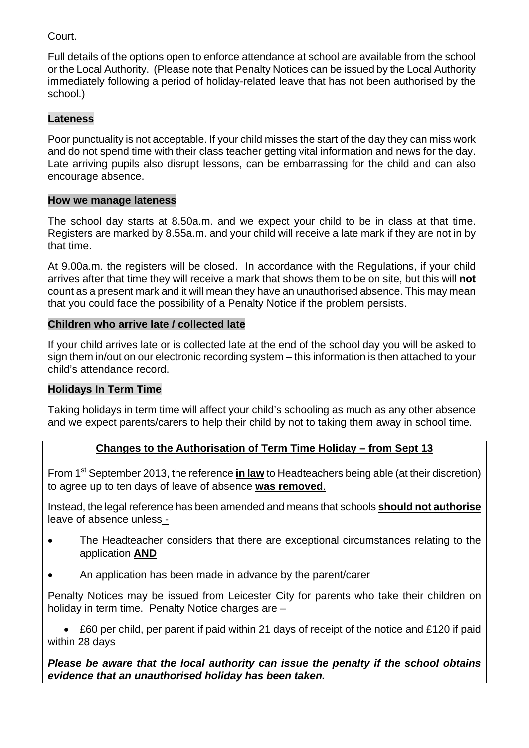# Court.

Full details of the options open to enforce attendance at school are available from the school or the Local Authority. (Please note that Penalty Notices can be issued by the Local Authority immediately following a period of holiday-related leave that has not been authorised by the school.)

# **Lateness**

Poor punctuality is not acceptable. If your child misses the start of the day they can miss work and do not spend time with their class teacher getting vital information and news for the day. Late arriving pupils also disrupt lessons, can be embarrassing for the child and can also encourage absence.

### **How we manage lateness**

The school day starts at 8.50a.m. and we expect your child to be in class at that time. Registers are marked by 8.55a.m. and your child will receive a late mark if they are not in by that time.

At 9.00a.m. the registers will be closed. In accordance with the Regulations, if your child arrives after that time they will receive a mark that shows them to be on site, but this will **not** count as a present mark and it will mean they have an unauthorised absence. This may mean that you could face the possibility of a Penalty Notice if the problem persists.

# **Children who arrive late / collected late**

If your child arrives late or is collected late at the end of the school day you will be asked to sign them in/out on our electronic recording system – this information is then attached to your child's attendance record.

# **Holidays In Term Time**

Taking holidays in term time will affect your child's schooling as much as any other absence and we expect parents/carers to help their child by not to taking them away in school time.

# **Changes to the Authorisation of Term Time Holiday – from Sept 13**

From 1st September 2013, the reference **in law** to Headteachers being able (at their discretion) to agree up to ten days of leave of absence **was removed**.

Instead, the legal reference has been amended and means that schools **should not authorise**  leave of absence unless -

- The Headteacher considers that there are exceptional circumstances relating to the application **AND**
- An application has been made in advance by the parent/carer

Penalty Notices may be issued from Leicester City for parents who take their children on holiday in term time. Penalty Notice charges are -

 £60 per child, per parent if paid within 21 days of receipt of the notice and £120 if paid within 28 days

# *Please be aware that the local authority can issue the penalty if the school obtains evidence that an unauthorised holiday has been taken.*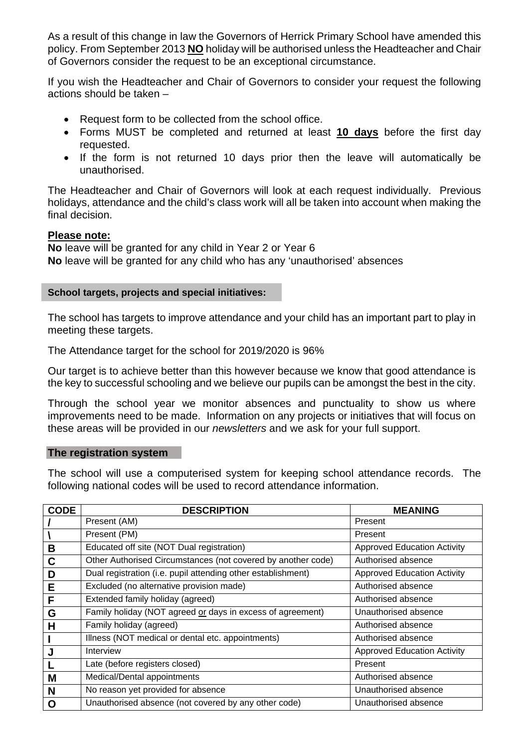As a result of this change in law the Governors of Herrick Primary School have amended this policy. From September 2013 **NO** holiday will be authorised unless the Headteacher and Chair of Governors consider the request to be an exceptional circumstance.

If you wish the Headteacher and Chair of Governors to consider your request the following actions should be taken –

- Request form to be collected from the school office.
- Forms MUST be completed and returned at least **10 days** before the first day requested.
- If the form is not returned 10 days prior then the leave will automatically be unauthorised.

The Headteacher and Chair of Governors will look at each request individually. Previous holidays, attendance and the child's class work will all be taken into account when making the final decision.

#### **Please note:**

**No** leave will be granted for any child in Year 2 or Year 6 **No** leave will be granted for any child who has any 'unauthorised' absences

#### **School targets, projects and special initiatives:**

The school has targets to improve attendance and your child has an important part to play in meeting these targets.

The Attendance target for the school for 2019/2020 is 96%

Our target is to achieve better than this however because we know that good attendance is the key to successful schooling and we believe our pupils can be amongst the best in the city.

Through the school year we monitor absences and punctuality to show us where improvements need to be made. Information on any projects or initiatives that will focus on these areas will be provided in our *newsletters* and we ask for your full support.

#### **The registration system**

The school will use a computerised system for keeping school attendance records. The following national codes will be used to record attendance information.

| <b>CODE</b> | <b>DESCRIPTION</b>                                           | <b>MEANING</b>                     |
|-------------|--------------------------------------------------------------|------------------------------------|
|             | Present (AM)                                                 | Present                            |
|             | Present (PM)                                                 | Present                            |
| B           | Educated off site (NOT Dual registration)                    | <b>Approved Education Activity</b> |
| C           | Other Authorised Circumstances (not covered by another code) | Authorised absence                 |
| D           | Dual registration (i.e. pupil attending other establishment) | <b>Approved Education Activity</b> |
| E           | Excluded (no alternative provision made)                     | Authorised absence                 |
| F           | Extended family holiday (agreed)                             | Authorised absence                 |
| G           | Family holiday (NOT agreed or days in excess of agreement)   | Unauthorised absence               |
| H           | Family holiday (agreed)                                      | Authorised absence                 |
|             | Illness (NOT medical or dental etc. appointments)            | Authorised absence                 |
| J           | Interview                                                    | <b>Approved Education Activity</b> |
|             | Late (before registers closed)                               | Present                            |
| M           | Medical/Dental appointments                                  | Authorised absence                 |
| N           | No reason yet provided for absence                           | Unauthorised absence               |
| O           | Unauthorised absence (not covered by any other code)         | Unauthorised absence               |